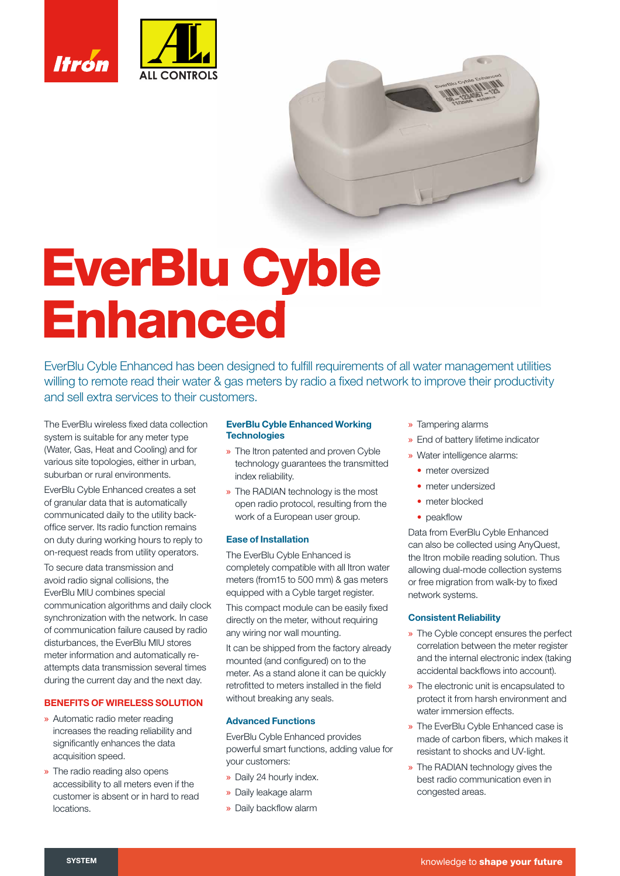

# **EverBlu Cyble Enhanced**

EverBlu Cyble Enhanced has been designed to fulfill requirements of all water management utilities willing to remote read their water & gas meters by radio a fixed network to improve their productivity and sell extra services to their customers.

The EverBlu wireless fixed data collection system is suitable for any meter type (Water, Gas, Heat and Cooling) and for various site topologies, either in urban, suburban or rural environments.

EverBlu Cyble Enhanced creates a set of granular data that is automatically communicated daily to the utility backoffice server. Its radio function remains on duty during working hours to reply to on-request reads from utility operators.

To secure data transmission and avoid radio signal collisions, the EverBlu MIU combines special communication algorithms and daily clock synchronization with the network. In case of communication failure caused by radio disturbances, the EverBlu MIU stores meter information and automatically reattempts data transmission several times during the current day and the next day.

## **BENEFITS OF WIRELESS SOLUTION**

- » Automatic radio meter reading increases the reading reliability and significantly enhances the data acquisition speed.
- » The radio reading also opens accessibility to all meters even if the customer is absent or in hard to read locations.

# **EverBlu Cyble Enhanced Working Technologies**

- » The Itron patented and proven Cyble technology guarantees the transmitted index reliability.
- » The RADIAN technology is the most open radio protocol, resulting from the work of a European user group.

#### **Ease of Installation**

The EverBlu Cyble Enhanced is completely compatible with all Itron water meters (from15 to 500 mm) & gas meters equipped with a Cyble target register.

This compact module can be easily fixed directly on the meter, without requiring any wiring nor wall mounting.

It can be shipped from the factory already mounted (and configured) on to the meter. As a stand alone it can be quickly retrofitted to meters installed in the field without breaking any seals.

# **Advanced Functions**

EverBlu Cyble Enhanced provides powerful smart functions, adding value for your customers:

- » Daily 24 hourly index.
- » Daily leakage alarm
- » Daily backflow alarm
- » Tampering alarms
- » End of battery lifetime indicator
- » Water intelligence alarms:
	- **•** meter oversized
	- **•** meter undersized
	- **•** meter blocked
	- peakflow

Data from EverBlu Cyble Enhanced can also be collected using AnyQuest, the Itron mobile reading solution. Thus allowing dual-mode collection systems or free migration from walk-by to fixed network systems.

#### **Consistent Reliability**

- » The Cyble concept ensures the perfect correlation between the meter register and the internal electronic index (taking accidental backflows into account).
- » The electronic unit is encapsulated to protect it from harsh environment and water immersion effects.
- » The EverBlu Cyble Enhanced case is made of carbon fibers, which makes it resistant to shocks and UV-light.
- » The RADIAN technology gives the best radio communication even in congested areas.